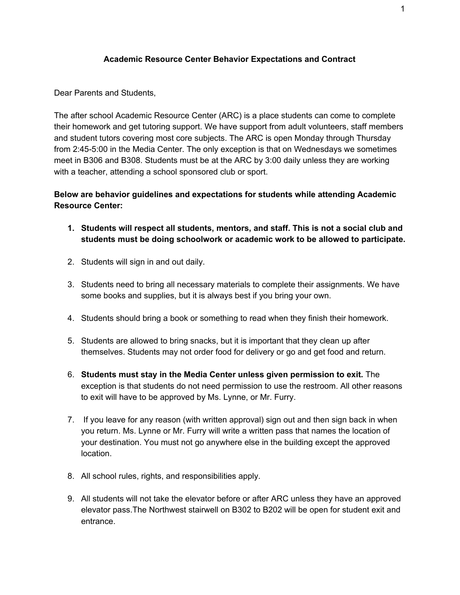## **Academic Resource Center Behavior Expectations and Contract**

Dear Parents and Students,

The after school Academic Resource Center (ARC) is a place students can come to complete their homework and get tutoring support. We have support from adult volunteers, staff members and student tutors covering most core subjects. The ARC is open Monday through Thursday from 2:45-5:00 in the Media Center. The only exception is that on Wednesdays we sometimes meet in B306 and B308. Students must be at the ARC by 3:00 daily unless they are working with a teacher, attending a school sponsored club or sport.

**Below are behavior guidelines and expectations for students while attending Academic Resource Center:**

- **1. Students will respect all students, mentors, and staff. This is not a social club and students must be doing schoolwork or academic work to be allowed to participate.**
- 2. Students will sign in and out daily.
- 3. Students need to bring all necessary materials to complete their assignments. We have some books and supplies, but it is always best if you bring your own.
- 4. Students should bring a book or something to read when they finish their homework.
- 5. Students are allowed to bring snacks, but it is important that they clean up after themselves. Students may not order food for delivery or go and get food and return.
- 6. **Students must stay in the Media Center unless given permission to exit.** The exception is that students do not need permission to use the restroom. All other reasons to exit will have to be approved by Ms. Lynne, or Mr. Furry.
- 7. If you leave for any reason (with written approval) sign out and then sign back in when you return. Ms. Lynne or Mr. Furry will write a written pass that names the location of your destination. You must not go anywhere else in the building except the approved location.
- 8. All school rules, rights, and responsibilities apply.
- 9. All students will not take the elevator before or after ARC unless they have an approved elevator pass.The Northwest stairwell on B302 to B202 will be open for student exit and entrance.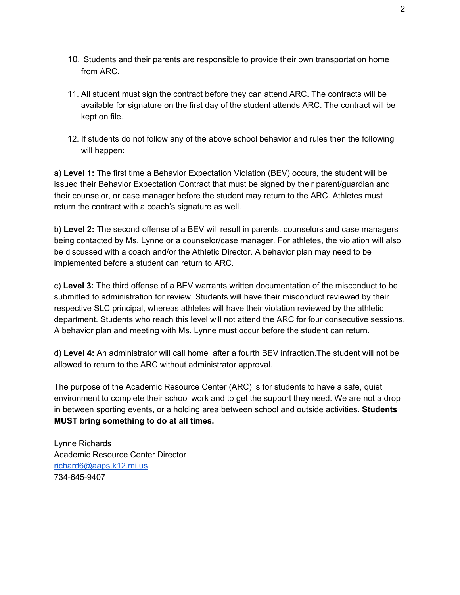- 10. Students and their parents are responsible to provide their own transportation home from ARC.
- 11. All student must sign the contract before they can attend ARC. The contracts will be available for signature on the first day of the student attends ARC. The contract will be kept on file.
- 12. If students do not follow any of the above school behavior and rules then the following will happen:

a) **Level 1:** The first time a Behavior Expectation Violation (BEV) occurs, the student will be issued their Behavior Expectation Contract that must be signed by their parent/guardian and their counselor, or case manager before the student may return to the ARC. Athletes must return the contract with a coach's signature as well.

b) **Level 2:** The second offense of a BEV will result in parents, counselors and case managers being contacted by Ms. Lynne or a counselor/case manager. For athletes, the violation will also be discussed with a coach and/or the Athletic Director. A behavior plan may need to be implemented before a student can return to ARC.

c) **Level 3:** The third offense of a BEV warrants written documentation of the misconduct to be submitted to administration for review. Students will have their misconduct reviewed by their respective SLC principal, whereas athletes will have their violation reviewed by the athletic department. Students who reach this level will not attend the ARC for four consecutive sessions. A behavior plan and meeting with Ms. Lynne must occur before the student can return.

d) **Level 4:** An administrator will call home after a fourth BEV infraction.The student will not be allowed to return to the ARC without administrator approval.

The purpose of the Academic Resource Center (ARC) is for students to have a safe, quiet environment to complete their school work and to get the support they need. We are not a drop in between sporting events, or a holding area between school and outside activities. **Students MUST bring something to do at all times.**

Lynne Richards Academic Resource Center Director [richard6@aaps.k12.mi.us](mailto:richard6@aaps.k12.mi.us) 734-645-9407